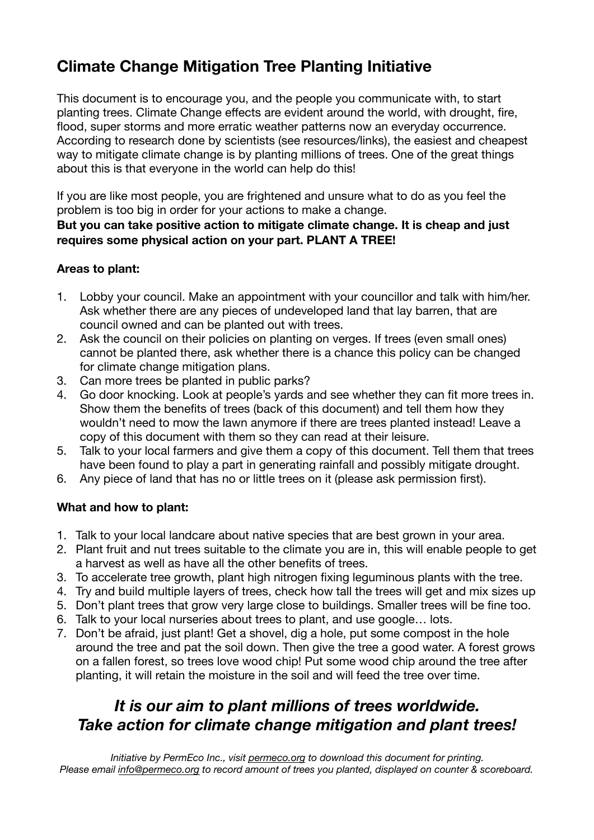## **Climate Change Mitigation Tree Planting Initiative**

This document is to encourage you, and the people you communicate with, to start planting trees. Climate Change effects are evident around the world, with drought, fire, flood, super storms and more erratic weather patterns now an everyday occurrence. According to research done by scientists (see resources/links), the easiest and cheapest way to mitigate climate change is by planting millions of trees. One of the great things about this is that everyone in the world can help do this!

If you are like most people, you are frightened and unsure what to do as you feel the problem is too big in order for your actions to make a change.

#### **But you can take positive action to mitigate climate change. It is cheap and just requires some physical action on your part. PLANT A TREE!**

### **Areas to plant:**

- 1. Lobby your council. Make an appointment with your councillor and talk with him/her. Ask whether there are any pieces of undeveloped land that lay barren, that are council owned and can be planted out with trees.
- 2. Ask the council on their policies on planting on verges. If trees (even small ones) cannot be planted there, ask whether there is a chance this policy can be changed for climate change mitigation plans.
- 3. Can more trees be planted in public parks?
- 4. Go door knocking. Look at people's yards and see whether they can fit more trees in. Show them the benefits of trees (back of this document) and tell them how they wouldn't need to mow the lawn anymore if there are trees planted instead! Leave a copy of this document with them so they can read at their leisure.
- 5. Talk to your local farmers and give them a copy of this document. Tell them that trees have been found to play a part in generating rainfall and possibly mitigate drought.
- 6. Any piece of land that has no or little trees on it (please ask permission first).

## **What and how to plant:**

- 1. Talk to your local landcare about native species that are best grown in your area.
- 2. Plant fruit and nut trees suitable to the climate you are in, this will enable people to get a harvest as well as have all the other benefits of trees.
- 3. To accelerate tree growth, plant high nitrogen fixing leguminous plants with the tree.
- 4. Try and build multiple layers of trees, check how tall the trees will get and mix sizes up
- 5. Don't plant trees that grow very large close to buildings. Smaller trees will be fine too.
- 6. Talk to your local nurseries about trees to plant, and use google… lots.
- 7. Don't be afraid, just plant! Get a shovel, dig a hole, put some compost in the hole around the tree and pat the soil down. Then give the tree a good water. A forest grows on a fallen forest, so trees love wood chip! Put some wood chip around the tree after planting, it will retain the moisture in the soil and will feed the tree over time.

## *It is our aim to plant millions of trees worldwide. Take action for climate change mitigation and plant trees!*

*Initiative by PermEco Inc., visit [permeco.org](http://permeco.org) to download this document for printing. Please email [info@permeco.org](mailto:info@permeco.org) to record amount of trees you planted, displayed on counter & scoreboard.*